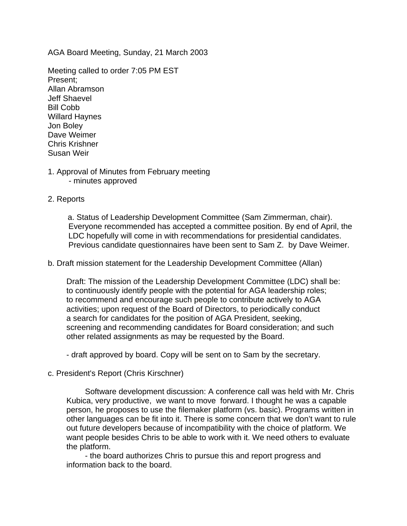AGA Board Meeting, Sunday, 21 March 2003

Meeting called to order 7:05 PM EST Present; Allan Abramson Jeff Shaevel Bill Cobb Willard Haynes Jon Boley Dave Weimer Chris Krishner Susan Weir

#### 1. Approval of Minutes from February meeting - minutes approved

## 2. Reports

a. Status of Leadership Development Committee (Sam Zimmerman, chair). Everyone recommended has accepted a committee position. By end of April, the LDC hopefully will come in with recommendations for presidential candidates. Previous candidate questionnaires have been sent to Sam Z. by Dave Weimer.

b. Draft mission statement for the Leadership Development Committee (Allan)

Draft: The mission of the Leadership Development Committee (LDC) shall be: to continuously identify people with the potential for AGA leadership roles; to recommend and encourage such people to contribute actively to AGA activities; upon request of the Board of Directors, to periodically conduct a search for candidates for the position of AGA President, seeking, screening and recommending candidates for Board consideration; and such other related assignments as may be requested by the Board.

- draft approved by board. Copy will be sent on to Sam by the secretary.

## c. President's Report (Chris Kirschner)

Software development discussion: A conference call was held with Mr. Chris Kubica, very productive, we want to move forward. I thought he was a capable person, he proposes to use the filemaker platform (vs. basic). Programs written in other languages can be fit into it. There is some concern that we don't want to rule out future developers because of incompatibility with the choice of platform. We want people besides Chris to be able to work with it. We need others to evaluate the platform.

 - the board authorizes Chris to pursue this and report progress and information back to the board.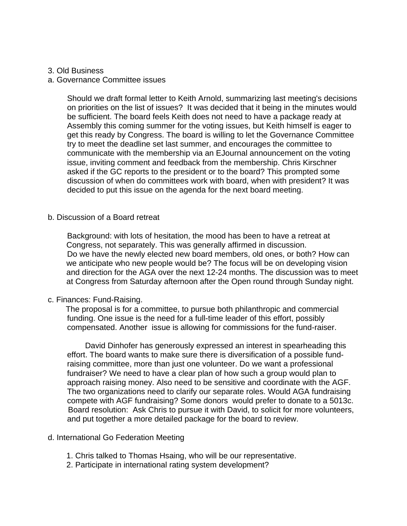#### 3. Old Business

#### a. Governance Committee issues

Should we draft formal letter to Keith Arnold, summarizing last meeting's decisions on priorities on the list of issues? It was decided that it being in the minutes would be sufficient. The board feels Keith does not need to have a package ready at Assembly this coming summer for the voting issues, but Keith himself is eager to get this ready by Congress. The board is willing to let the Governance Committee try to meet the deadline set last summer, and encourages the committee to communicate with the membership via an EJournal announcement on the voting issue, inviting comment and feedback from the membership. Chris Kirschner asked if the GC reports to the president or to the board? This prompted some discussion of when do committees work with board, when with president? It was decided to put this issue on the agenda for the next board meeting.

#### b. Discussion of a Board retreat

Background: with lots of hesitation, the mood has been to have a retreat at Congress, not separately. This was generally affirmed in discussion. Do we have the newly elected new board members, old ones, or both? How can we anticipate who new people would be? The focus will be on developing vision and direction for the AGA over the next 12-24 months. The discussion was to meet at Congress from Saturday afternoon after the Open round through Sunday night.

## c. Finances: Fund-Raising.

The proposal is for a committee, to pursue both philanthropic and commercial funding. One issue is the need for a full-time leader of this effort, possibly compensated. Another issue is allowing for commissions for the fund-raiser.

 David Dinhofer has generously expressed an interest in spearheading this effort. The board wants to make sure there is diversification of a possible fundraising committee, more than just one volunteer. Do we want a professional fundraiser? We need to have a clear plan of how such a group would plan to approach raising money. Also need to be sensitive and coordinate with the AGF. The two organizations need to clarify our separate roles. Would AGA fundraising compete with AGF fundraising? Some donors would prefer to donate to a 5013c. Board resolution: Ask Chris to pursue it with David, to solicit for more volunteers, and put together a more detailed package for the board to review.

## d. International Go Federation Meeting

- 1. Chris talked to Thomas Hsaing, who will be our representative.
- 2. Participate in international rating system development?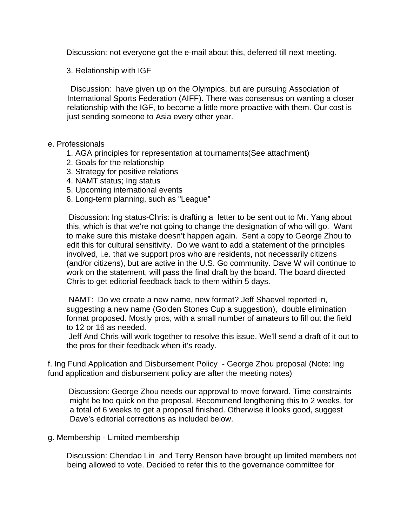Discussion: not everyone got the e-mail about this, deferred till next meeting.

3. Relationship with IGF

 Discussion: have given up on the Olympics, but are pursuing Association of International Sports Federation (AIFF). There was consensus on wanting a closer relationship with the IGF, to become a little more proactive with them. Our cost is just sending someone to Asia every other year.

# e. Professionals

- 1. AGA principles for representation at tournaments(See attachment)
- 2. Goals for the relationship
- 3. Strategy for positive relations
- 4. NAMT status; Ing status
- 5. Upcoming international events
- 6. Long-term planning, such as "League"

 Discussion: Ing status-Chris: is drafting a letter to be sent out to Mr. Yang about this, which is that we're not going to change the designation of who will go. Want to make sure this mistake doesn't happen again. Sent a copy to George Zhou to edit this for cultural sensitivity. Do we want to add a statement of the principles involved, i.e. that we support pros who are residents, not necessarily citizens (and/or citizens), but are active in the U.S. Go community. Dave W will continue to work on the statement, will pass the final draft by the board. The board directed Chris to get editorial feedback back to them within 5 days.

 NAMT: Do we create a new name, new format? Jeff Shaevel reported in, suggesting a new name (Golden Stones Cup a suggestion), double elimination format proposed. Mostly pros, with a small number of amateurs to fill out the field to 12 or 16 as needed.

 Jeff And Chris will work together to resolve this issue. We'll send a draft of it out to the pros for their feedback when it's ready.

f. Ing Fund Application and Disbursement Policy - George Zhou proposal (Note: Ing fund application and disbursement policy are after the meeting notes)

 Discussion: George Zhou needs our approval to move forward. Time constraints might be too quick on the proposal. Recommend lengthening this to 2 weeks, for a total of 6 weeks to get a proposal finished. Otherwise it looks good, suggest Dave's editorial corrections as included below.

## g. Membership - Limited membership

Discussion: Chendao Lin and Terry Benson have brought up limited members not being allowed to vote. Decided to refer this to the governance committee for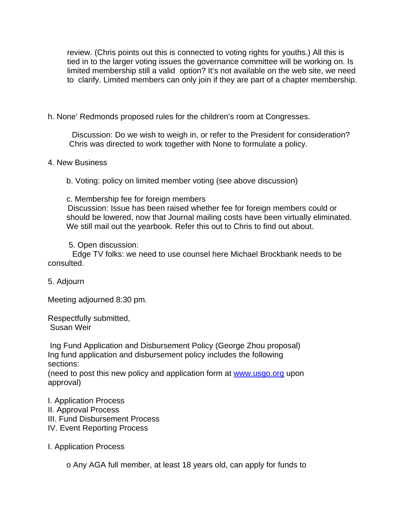review. (Chris points out this is connected to voting rights for youths.) All this is tied in to the larger voting issues the governance committee will be working on. Is limited membership still a valid option? It's not available on the web site, we need to clarify. Limited members can only join if they are part of a chapter membership.

# h. None' Redmonds proposed rules for the children's room at Congresses.

 Discussion: Do we wish to weigh in, or refer to the President for consideration? Chris was directed to work together with None to formulate a policy.

## 4. New Business

b. Voting: policy on limited member voting (see above discussion)

c. Membership fee for foreign members

Discussion: Issue has been raised whether fee for foreign members could or should be lowered, now that Journal mailing costs have been virtually eliminated. We still mail out the yearbook. Refer this out to Chris to find out about.

5. Open discussion:

 Edge TV folks: we need to use counsel here Michael Brockbank needs to be consulted.

5. Adjourn

Meeting adjourned 8:30 pm.

Respectfully submitted, Susan Weir

 Ing Fund Application and Disbursement Policy (George Zhou proposal) Ing fund application and disbursement policy includes the following sections:

(need to post this new policy and application form at www.usgo.org upon approval)

I. Application Process

- II. Approval Process
- III. Fund Disbursement Process
- IV. Event Reporting Process

I. Application Process

o Any AGA full member, at least 18 years old, can apply for funds to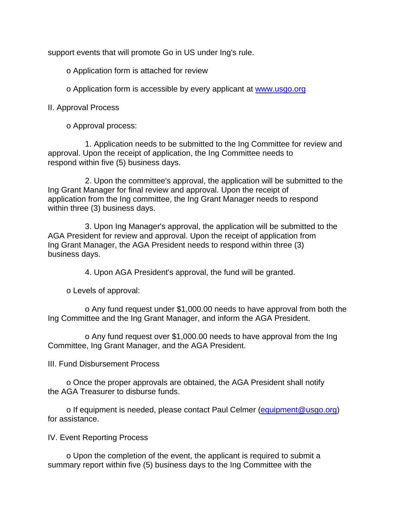support events that will promote Go in US under Ing's rule.

o Application form is attached for review

o Application form is accessible by every applicant at www.usgo.org

II. Approval Process

o Approval process:

1. Application needs to be submitted to the Ing Committee for review and approval. Upon the receipt of application, the Ing Committee needs to respond within five (5) business days.

2. Upon the committee's approval, the application will be submitted to the Ing Grant Manager for final review and approval. Upon the receipt of application from the Ing committee, the Ing Grant Manager needs to respond within three (3) business days.

3. Upon Ing Manager's approval, the application will be submitted to the AGA President for review and approval. Upon the receipt of application from Ing Grant Manager, the AGA President needs to respond within three (3) business days.

4. Upon AGA President's approval, the fund will be granted.

o Levels of approval:

o Any fund request under \$1,000.00 needs to have approval from both the Ing Committee and the Ing Grant Manager, and inform the AGA President.

o Any fund request over \$1,000.00 needs to have approval from the Ing Committee, Ing Grant Manager, and the AGA President.

III. Fund Disbursement Process

o Once the proper approvals are obtained, the AGA President shall notify the AGA Treasurer to disburse funds.

o If equipment is needed, please contact Paul Celmer (equipment@usgo.org) for assistance.

IV. Event Reporting Process

o Upon the completion of the event, the applicant is required to submit a summary report within five (5) business days to the Ing Committee with the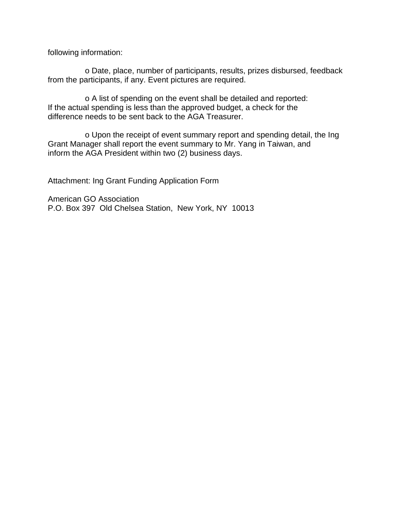following information:

o Date, place, number of participants, results, prizes disbursed, feedback from the participants, if any. Event pictures are required.

o A list of spending on the event shall be detailed and reported: If the actual spending is less than the approved budget, a check for the difference needs to be sent back to the AGA Treasurer.

o Upon the receipt of event summary report and spending detail, the Ing Grant Manager shall report the event summary to Mr. Yang in Taiwan, and inform the AGA President within two (2) business days.

Attachment: Ing Grant Funding Application Form

American GO Association P.O. Box 397 Old Chelsea Station, New York, NY 10013